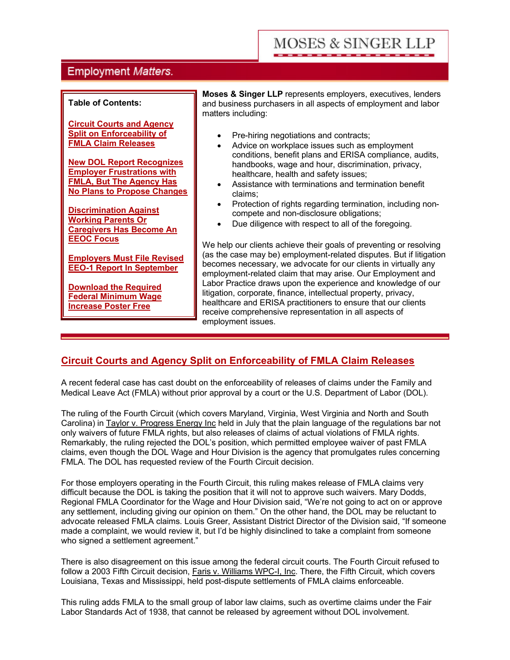# **MOSES & SINGER LLP**

# **Employment Matters.**

#### **Table of Contents:**

**Circuit Courts and Agency Split on Enforceability of FMLA Claim Releases**

**New DOL Report Recognizes Employer Frustrations with FMLA, But The Agency Has No Plans to Propose Changes**

**Discrimination Against Working Parents Or Caregivers Has Become An EEOC Focus**

**Employers Must File Revised EEO-1 Report In September**

**Download the Required Federal Minimum Wage Increase Poster Free**

**Moses & Singer LLP** represents employers, executives, lenders and business purchasers in all aspects of employment and labor matters including:

- · Pre-hiring negotiations and contracts;
- Advice on workplace issues such as employment conditions, benefit plans and ERISA compliance, audits, handbooks, wage and hour, discrimination, privacy, healthcare, health and safety issues;
- Assistance with terminations and termination benefit claims;
- Protection of rights regarding termination, including noncompete and non-disclosure obligations;
- Due diligence with respect to all of the foregoing.

We help our clients achieve their goals of preventing or resolving (as the case may be) employment-related disputes. But if litigation becomes necessary, we advocate for our clients in virtually any employment-related claim that may arise. Our Employment and Labor Practice draws upon the experience and knowledge of our litigation, corporate, finance, intellectual property, privacy, healthcare and ERISA practitioners to ensure that our clients receive comprehensive representation in all aspects of employment issues.

## **Circuit Courts and Agency Split on Enforceability of FMLA Claim Releases**

A recent federal case has cast doubt on the enforceability of releases of claims under the Family and Medical Leave Act (FMLA) without prior approval by a court or the U.S. Department of Labor (DOL).

The ruling of the Fourth Circuit (which covers Maryland, Virginia, West Virginia and North and South Carolina) in Taylor v. Progress Energy Inc held in July that the plain language of the regulations bar not only waivers of future FMLA rights, but also releases of claims of actual violations of FMLA rights. Remarkably, the ruling rejected the DOL's position, which permitted employee waiver of past FMLA claims, even though the DOL Wage and Hour Division is the agency that promulgates rules concerning FMLA. The DOL has requested review of the Fourth Circuit decision.

For those employers operating in the Fourth Circuit, this ruling makes release of FMLA claims very difficult because the DOL is taking the position that it will not to approve such waivers. Mary Dodds, Regional FMLA Coordinator for the Wage and Hour Division said, "We're not going to act on or approve any settlement, including giving our opinion on them." On the other hand, the DOL may be reluctant to advocate released FMLA claims. Louis Greer, Assistant District Director of the Division said, "If someone made a complaint, we would review it, but I'd be highly disinclined to take a complaint from someone who signed a settlement agreement."

There is also disagreement on this issue among the federal circuit courts. The Fourth Circuit refused to follow a 2003 Fifth Circuit decision, Faris v. Williams WPC-I, Inc. There, the Fifth Circuit, which covers Louisiana, Texas and Mississippi, held post-dispute settlements of FMLA claims enforceable.

This ruling adds FMLA to the small group of labor law claims, such as overtime claims under the Fair Labor Standards Act of 1938, that cannot be released by agreement without DOL involvement.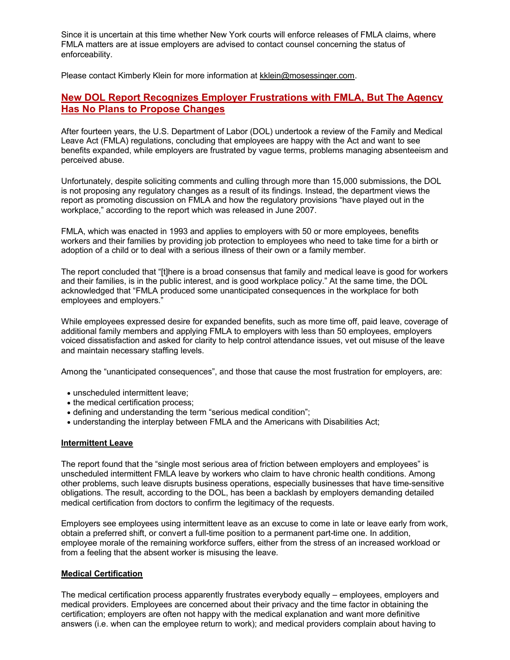Since it is uncertain at this time whether New York courts will enforce releases of FMLA claims, where FMLA matters are at issue employers are advised to contact counsel concerning the status of enforceability.

Please contact Kimberly Klein for more information at kklein@mosessinger.com.

## **New DOL Report Recognizes Employer Frustrations with FMLA, But The Agency Has No Plans to Propose Changes**

After fourteen years, the U.S. Department of Labor (DOL) undertook a review of the Family and Medical Leave Act (FMLA) regulations, concluding that employees are happy with the Act and want to see benefits expanded, while employers are frustrated by vague terms, problems managing absenteeism and perceived abuse.

Unfortunately, despite soliciting comments and culling through more than 15,000 submissions, the DOL is not proposing any regulatory changes as a result of its findings. Instead, the department views the report as promoting discussion on FMLA and how the regulatory provisions "have played out in the workplace," according to the report which was released in June 2007.

FMLA, which was enacted in 1993 and applies to employers with 50 or more employees, benefits workers and their families by providing job protection to employees who need to take time for a birth or adoption of a child or to deal with a serious illness of their own or a family member.

The report concluded that "[t]here is a broad consensus that family and medical leave is good for workers and their families, is in the public interest, and is good workplace policy." At the same time, the DOL acknowledged that "FMLA produced some unanticipated consequences in the workplace for both employees and employers."

While employees expressed desire for expanded benefits, such as more time off, paid leave, coverage of additional family members and applying FMLA to employers with less than 50 employees, employers voiced dissatisfaction and asked for clarity to help control attendance issues, vet out misuse of the leave and maintain necessary staffing levels.

Among the "unanticipated consequences", and those that cause the most frustration for employers, are:

- · unscheduled intermittent leave;
- the medical certification process;
- · defining and understanding the term "serious medical condition";
- · understanding the interplay between FMLA and the Americans with Disabilities Act;

#### **Intermittent Leave**

The report found that the "single most serious area of friction between employers and employees" is unscheduled intermittent FMLA leave by workers who claim to have chronic health conditions. Among other problems, such leave disrupts business operations, especially businesses that have time-sensitive obligations. The result, according to the DOL, has been a backlash by employers demanding detailed medical certification from doctors to confirm the legitimacy of the requests.

Employers see employees using intermittent leave as an excuse to come in late or leave early from work, obtain a preferred shift, or convert a full-time position to a permanent part-time one. In addition, employee morale of the remaining workforce suffers, either from the stress of an increased workload or from a feeling that the absent worker is misusing the leave.

## **Medical Certification**

The medical certification process apparently frustrates everybody equally – employees, employers and medical providers. Employees are concerned about their privacy and the time factor in obtaining the certification; employers are often not happy with the medical explanation and want more definitive answers (i.e. when can the employee return to work); and medical providers complain about having to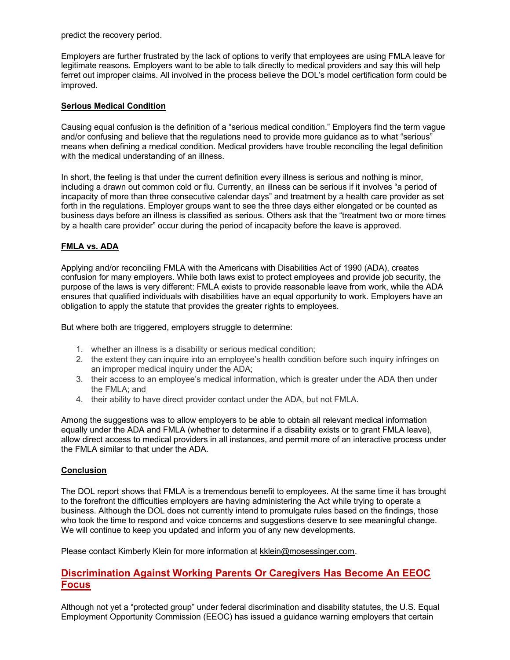predict the recovery period.

Employers are further frustrated by the lack of options to verify that employees are using FMLA leave for legitimate reasons. Employers want to be able to talk directly to medical providers and say this will help ferret out improper claims. All involved in the process believe the DOL's model certification form could be improved.

### **Serious Medical Condition**

Causing equal confusion is the definition of a "serious medical condition." Employers find the term vague and/or confusing and believe that the regulations need to provide more guidance as to what "serious" means when defining a medical condition. Medical providers have trouble reconciling the legal definition with the medical understanding of an illness.

In short, the feeling is that under the current definition every illness is serious and nothing is minor, including a drawn out common cold or flu. Currently, an illness can be serious if it involves "a period of incapacity of more than three consecutive calendar days" and treatment by a health care provider as set forth in the regulations. Employer groups want to see the three days either elongated or be counted as business days before an illness is classified as serious. Others ask that the "treatment two or more times by a health care provider" occur during the period of incapacity before the leave is approved.

### **FMLA vs. ADA**

Applying and/or reconciling FMLA with the Americans with Disabilities Act of 1990 (ADA), creates confusion for many employers. While both laws exist to protect employees and provide job security, the purpose of the laws is very different: FMLA exists to provide reasonable leave from work, while the ADA ensures that qualified individuals with disabilities have an equal opportunity to work. Employers have an obligation to apply the statute that provides the greater rights to employees.

But where both are triggered, employers struggle to determine:

- 1. whether an illness is a disability or serious medical condition;
- 2. the extent they can inquire into an employee's health condition before such inquiry infringes on an improper medical inquiry under the ADA;
- 3. their access to an employee's medical information, which is greater under the ADA then under the FMLA; and
- 4. their ability to have direct provider contact under the ADA, but not FMLA.

Among the suggestions was to allow employers to be able to obtain all relevant medical information equally under the ADA and FMLA (whether to determine if a disability exists or to grant FMLA leave), allow direct access to medical providers in all instances, and permit more of an interactive process under the FMLA similar to that under the ADA.

#### **Conclusion**

The DOL report shows that FMLA is a tremendous benefit to employees. At the same time it has brought to the forefront the difficulties employers are having administering the Act while trying to operate a business. Although the DOL does not currently intend to promulgate rules based on the findings, those who took the time to respond and voice concerns and suggestions deserve to see meaningful change. We will continue to keep you updated and inform you of any new developments.

Please contact Kimberly Klein for more information at kklein@mosessinger.com.

## **Discrimination Against Working Parents Or Caregivers Has Become An EEOC Focus**

Although not yet a "protected group" under federal discrimination and disability statutes, the U.S. Equal Employment Opportunity Commission (EEOC) has issued a guidance warning employers that certain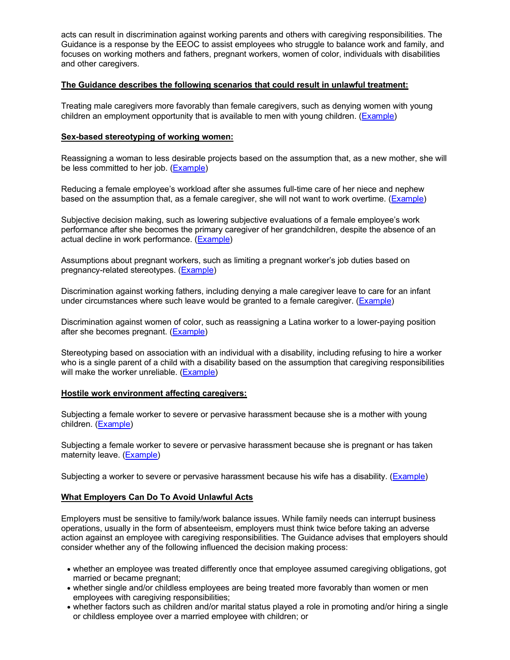acts can result in discrimination against working parents and others with caregiving responsibilities. The Guidance is a response by the EEOC to assist employees who struggle to balance work and family, and focuses on working mothers and fathers, pregnant workers, women of color, individuals with disabilities and other caregivers.

### **The Guidance describes the following scenarios that could result in unlawful treatment:**

Treating male caregivers more favorably than female caregivers, such as denying women with young children an employment opportunity that is available to men with young children. (Example)

## **Sex-based stereotyping of working women:**

Reassigning a woman to less desirable projects based on the assumption that, as a new mother, she will be less committed to her job. (Example)

Reducing a female employee's workload after she assumes full-time care of her niece and nephew based on the assumption that, as a female caregiver, she will not want to work overtime. (Example)

Subjective decision making, such as lowering subjective evaluations of a female employee's work performance after she becomes the primary caregiver of her grandchildren, despite the absence of an actual decline in work performance. (Example)

Assumptions about pregnant workers, such as limiting a pregnant worker's job duties based on pregnancy-related stereotypes. (Example)

Discrimination against working fathers, including denying a male caregiver leave to care for an infant under circumstances where such leave would be granted to a female caregiver. (Example)

Discrimination against women of color, such as reassigning a Latina worker to a lower-paying position after she becomes pregnant. (Example)

Stereotyping based on association with an individual with a disability, including refusing to hire a worker who is a single parent of a child with a disability based on the assumption that caregiving responsibilities will make the worker unreliable. (Example)

#### **Hostile work environment affecting caregivers:**

Subjecting a female worker to severe or pervasive harassment because she is a mother with young children. (Example)

Subjecting a female worker to severe or pervasive harassment because she is pregnant or has taken maternity leave. (Example)

Subjecting a worker to severe or pervasive harassment because his wife has a disability. (Example)

## **What Employers Can Do To Avoid Unlawful Acts**

Employers must be sensitive to family/work balance issues. While family needs can interrupt business operations, usually in the form of absenteeism, employers must think twice before taking an adverse action against an employee with caregiving responsibilities. The Guidance advises that employers should consider whether any of the following influenced the decision making process:

- · whether an employee was treated differently once that employee assumed caregiving obligations, got married or became pregnant;
- · whether single and/or childless employees are being treated more favorably than women or men employees with caregiving responsibilities;
- · whether factors such as children and/or marital status played a role in promoting and/or hiring a single or childless employee over a married employee with children; or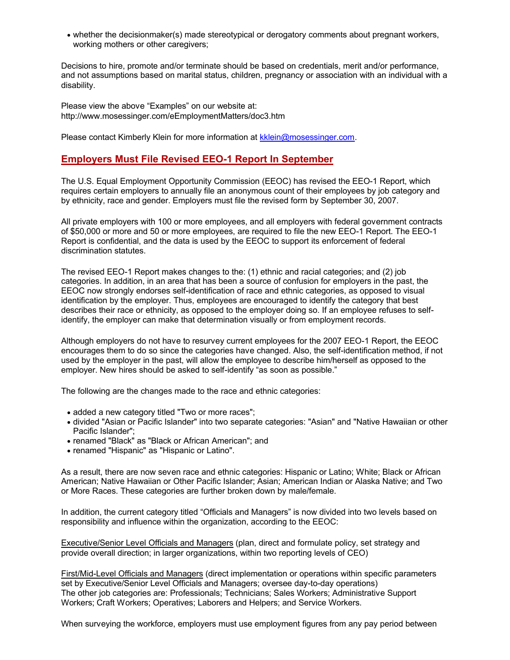· whether the decisionmaker(s) made stereotypical or derogatory comments about pregnant workers, working mothers or other caregivers;

Decisions to hire, promote and/or terminate should be based on credentials, merit and/or performance, and not assumptions based on marital status, children, pregnancy or association with an individual with a disability.

Please view the above "Examples" on our website at: [http://](http://www.mosessinger.com/eEmploymentMatters/doc3.htm)<www.mosessinger.com/eEmploymentMatters/doc3.htm>

Please contact Kimberly Klein for more information at kklein@mosessinger.com.

## **Employers Must File Revised EEO-1 Report In September**

The U.S. Equal Employment Opportunity Commission (EEOC) has revised the EEO-1 Report, which requires certain employers to annually file an anonymous count of their employees by job category and by ethnicity, race and gender. Employers must file the revised form by September 30, 2007.

All private employers with 100 or more employees, and all employers with federal government contracts of \$50,000 or more and 50 or more employees, are required to file the new EEO-1 Report. The EEO-1 Report is confidential, and the data is used by the EEOC to support its enforcement of federal discrimination statutes.

The revised EEO-1 Report makes changes to the: (1) ethnic and racial categories; and (2) job categories. In addition, in an area that has been a source of confusion for employers in the past, the EEOC now strongly endorses self-identification of race and ethnic categories, as opposed to visual identification by the employer. Thus, employees are encouraged to identify the category that best describes their race or ethnicity, as opposed to the employer doing so. If an employee refuses to selfidentify, the employer can make that determination visually or from employment records.

Although employers do not have to resurvey current employees for the 2007 EEO-1 Report, the EEOC encourages them to do so since the categories have changed. Also, the self-identification method, if not used by the employer in the past, will allow the employee to describe him/herself as opposed to the employer. New hires should be asked to self-identify "as soon as possible."

The following are the changes made to the race and ethnic categories:

- added a new category titled "Two or more races";
- · divided "Asian or Pacific Islander" into two separate categories: "Asian" and "Native Hawaiian or other Pacific Islander";
- · renamed "Black" as "Black or African American"; and
- · renamed "Hispanic" as "Hispanic or Latino".

As a result, there are now seven race and ethnic categories: Hispanic or Latino; White; Black or African American; Native Hawaiian or Other Pacific Islander; Asian; American Indian or Alaska Native; and Two or More Races. These categories are further broken down by male/female.

In addition, the current category titled "Officials and Managers" is now divided into two levels based on responsibility and influence within the organization, according to the EEOC:

Executive/Senior Level Officials and Managers (plan, direct and formulate policy, set strategy and provide overall direction; in larger organizations, within two reporting levels of CEO)

First/Mid-Level Officials and Managers (direct implementation or operations within specific parameters set by Executive/Senior Level Officials and Managers; oversee day-to-day operations) The other job categories are: Professionals; Technicians; Sales Workers; Administrative Support Workers; Craft Workers; Operatives; Laborers and Helpers; and Service Workers.

When surveying the workforce, employers must use employment figures from any pay period between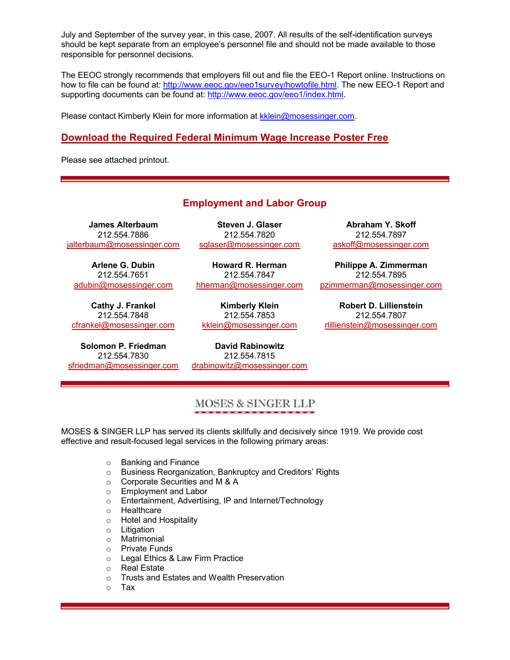July and September of the survey year, in this case, 2007. All results of the self-identification surveys should be kept separate from an employee's personnel file and should not be made available to those responsible for personnel decisions.

The EEOC strongly recommends that employers fill out and file the EEO-1 Report online. Instructions on how to file can be found at: [http://w](http://www.eeoc.gov/eeo1survey/howtofile.html)[ww.eeoc.gov/eeo1survey/howtofile.html](www.eeoc.gov/eeo1survey/howtofile.html). The new EEO-1 Report and supporting documents can be found at: [http://](http://www.eeoc.gov/eeo1/index.html)<www.eeoc.gov/eeo1/index.html>.

Please contact Kimberly Klein for more information at kklein@mosessinger.com.

## **Download the Required Federal Minimum Wage Increase Poster Free**

Please see attached printout.

## **Employment and Labor Group**

**James Alterbaum** 212.554.7886 jalterbaum@mosessinger.com

**Arlene G. Dubin** 212.554.7651 adubin@mosessinger.com

**Cathy J. Frankel** 212.554.7848 cfrankel@mosessinger.com

**Solomon P. Friedman** 212.554.7830 sfriedman@mosessinger.com

**Steven J. Glaser** 212.554.7820 sglaser@mosessinger.com

**Howard R. Herman** 212.554.7847 hherman@mosessinger.com

**Kimberly Klein** 212.554.7853 kklein@mosessinger.com

**David Rabinowitz** 212.554.7815 drabinowitz@mosessinger.com

**Abraham Y. Skoff** 212.554.7897 askoff@mosessinger.com

**Philippe A. Zimmerman** 212.554.7895 pzimmerman@mosessinger.com

**Robert D. Lillienstein** 212.554.7807 rlillienstein@mosessinger.com

## MOSES & SINGER LLP

MOSES & SINGER LLP has served its clients skillfully and decisively since 1919. We provide cost effective and result-focused legal services in the following primary areas:

- o Banking and Finance
- o Business Reorganization, Bankruptcy and Creditors' Rights
- o Corporate Securities and M & A
- o Employment and Labor
- o Entertainment, Advertising, IP and Internet/Technology
- o Healthcare
- o Hotel and Hospitality
- o Litigation
- o Matrimonial
- o Private Funds
- o Legal Ethics & Law Firm Practice
- o Real Estate
- o Trusts and Estates and Wealth Preservation
- o Tax